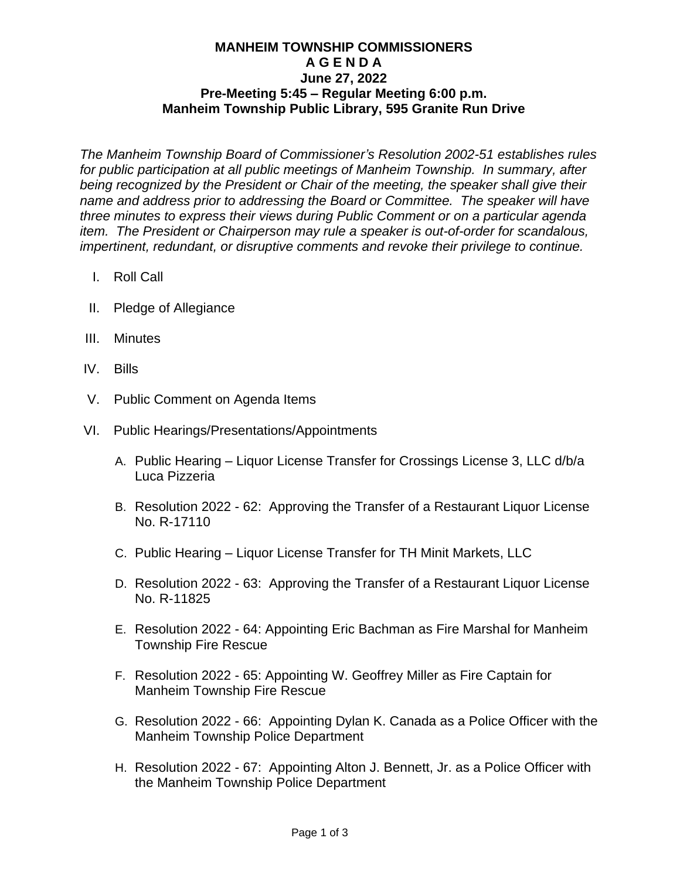## **MANHEIM TOWNSHIP COMMISSIONERS A G E N D A June 27, 2022 Pre-Meeting 5:45 – Regular Meeting 6:00 p.m. Manheim Township Public Library, 595 Granite Run Drive**

*The Manheim Township Board of Commissioner's Resolution 2002-51 establishes rules for public participation at all public meetings of Manheim Township. In summary, after being recognized by the President or Chair of the meeting, the speaker shall give their name and address prior to addressing the Board or Committee. The speaker will have three minutes to express their views during Public Comment or on a particular agenda item. The President or Chairperson may rule a speaker is out-of-order for scandalous, impertinent, redundant, or disruptive comments and revoke their privilege to continue.*

- I. Roll Call
- II. Pledge of Allegiance
- III. Minutes
- IV. Bills
- V. Public Comment on Agenda Items
- VI. Public Hearings/Presentations/Appointments
	- A. Public Hearing Liquor License Transfer for Crossings License 3, LLC d/b/a Luca Pizzeria
	- B. Resolution 2022 62: Approving the Transfer of a Restaurant Liquor License No. R-17110
	- C. Public Hearing Liquor License Transfer for TH Minit Markets, LLC
	- D. Resolution 2022 63: Approving the Transfer of a Restaurant Liquor License No. R-11825
	- E. Resolution 2022 64: Appointing Eric Bachman as Fire Marshal for Manheim Township Fire Rescue
	- F. Resolution 2022 65: Appointing W. Geoffrey Miller as Fire Captain for Manheim Township Fire Rescue
	- G. Resolution 2022 66: Appointing Dylan K. Canada as a Police Officer with the Manheim Township Police Department
	- H. Resolution 2022 67: Appointing Alton J. Bennett, Jr. as a Police Officer with the Manheim Township Police Department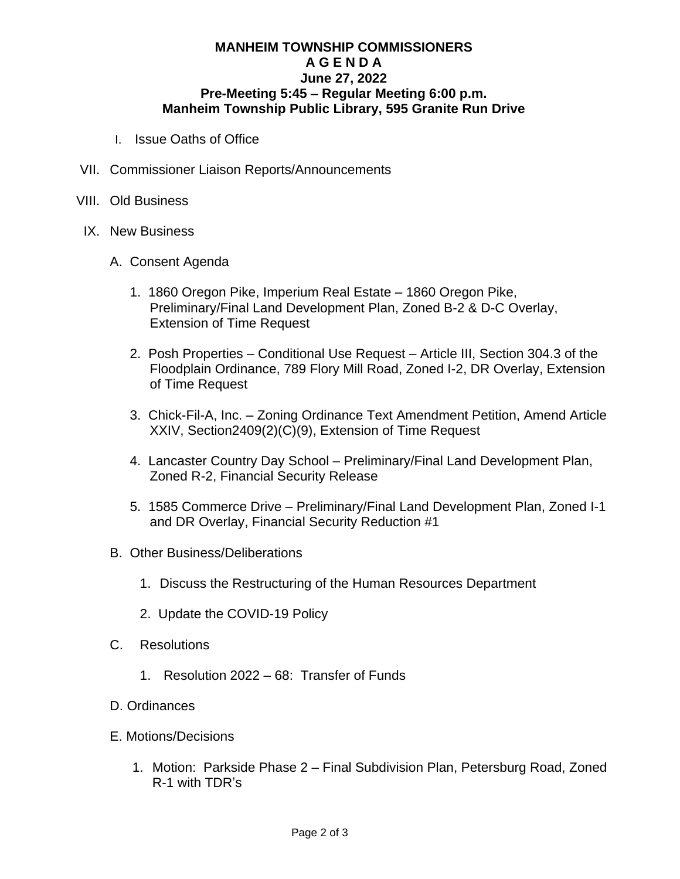## **MANHEIM TOWNSHIP COMMISSIONERS A G E N D A June 27, 2022 Pre-Meeting 5:45 – Regular Meeting 6:00 p.m. Manheim Township Public Library, 595 Granite Run Drive**

- I. Issue Oaths of Office
- VII. Commissioner Liaison Reports/Announcements
- VIII. Old Business
- IX. New Business
	- A. Consent Agenda
		- 1. 1860 Oregon Pike, Imperium Real Estate 1860 Oregon Pike, Preliminary/Final Land Development Plan, Zoned B-2 & D-C Overlay, Extension of Time Request
		- 2. Posh Properties Conditional Use Request Article III, Section 304.3 of the Floodplain Ordinance, 789 Flory Mill Road, Zoned I-2, DR Overlay, Extension of Time Request
		- 3. Chick-Fil-A, Inc. Zoning Ordinance Text Amendment Petition, Amend Article XXIV, Section2409(2)(C)(9), Extension of Time Request
		- 4. Lancaster Country Day School Preliminary/Final Land Development Plan, Zoned R-2, Financial Security Release
		- 5. 1585 Commerce Drive Preliminary/Final Land Development Plan, Zoned I-1 and DR Overlay, Financial Security Reduction #1
	- B. Other Business/Deliberations
		- 1. Discuss the Restructuring of the Human Resources Department
		- 2. Update the COVID-19 Policy
	- C. Resolutions
		- 1. Resolution 2022 68: Transfer of Funds
	- D. Ordinances
	- E. Motions/Decisions
		- 1. Motion: Parkside Phase 2 Final Subdivision Plan, Petersburg Road, Zoned R-1 with TDR's